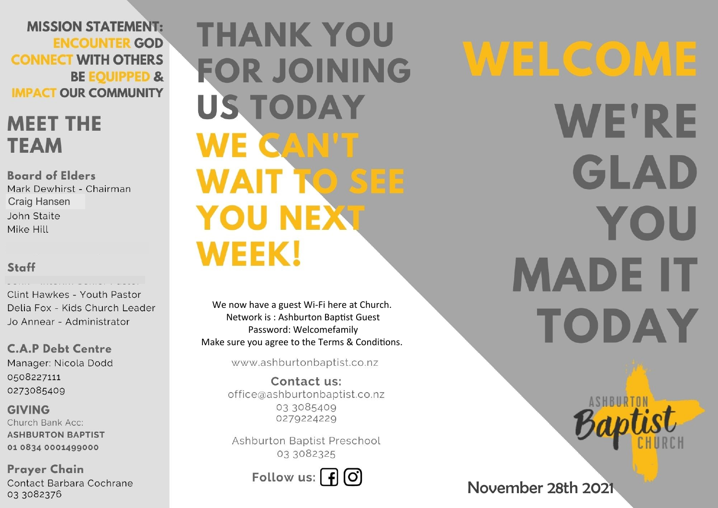**MISSION STATEMENT: ENCOUNTER GOD CONNECT WITH OTHERS BE EQUIPPED & IMPACT OUR COMMUNITY** 

# **MEET THE TEAM**

**Board of Elders** Mark Dewhirst - Chairman **Craig Hansen** John Staite Mike Hill

## Staff

Clint Hawkes - Youth Pastor Delia Fox - Kids Church Leader Jo Annear - Administrator

**C.A.P Debt Centre** Manager: Nicola Dodd 0508227111 0273085409

**GIVING** Church Bank Acc: **ASHBURTON BAPTIST** 01 0834 0001499000

**Prayer Chain** Contact Barbara Cochrane 03 3082376

**THANK YOU FOR JOINING US TODAY** WE CAN'T **WAIT TO SEE YOU NEXT WEEK!** 

We now have a guest Wi-Fi here at Church. Network is: Ashburton Baptist Guest Password: Welcomefamily Make sure you agree to the Terms & Conditions.

www.ashburtonbaptist.co.nz

Contact us: office@ashburtonbaptist.co.nz 03 3085409 0279224229

Ashburton Baptist Preschool 03 3082325

Follow us:  $\int f(x)$ 

WELCOME **WE'RE** GLAD YOU **MADE IT** TODAY

November 28th 2021